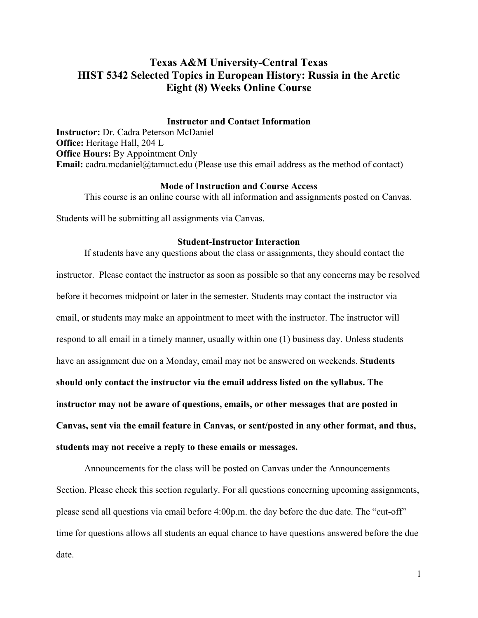# **Texas A&M University-Central Texas HIST 5342 Selected Topics in European History: Russia in the Arctic Eight (8) Weeks Online Course**

## **Instructor and Contact Information**

**Instructor:** Dr. Cadra Peterson McDaniel **Office:** Heritage Hall, 204 L **Office Hours:** By Appointment Only **Email:** cadra.mcdaniel@tamuct.edu (Please use this email address as the method of contact)

# **Mode of Instruction and Course Access**

This course is an online course with all information and assignments posted on Canvas.

Students will be submitting all assignments via Canvas.

#### **Student-Instructor Interaction**

If students have any questions about the class or assignments, they should contact the instructor. Please contact the instructor as soon as possible so that any concerns may be resolved before it becomes midpoint or later in the semester. Students may contact the instructor via email, or students may make an appointment to meet with the instructor. The instructor will respond to all email in a timely manner, usually within one (1) business day. Unless students have an assignment due on a Monday, email may not be answered on weekends. **Students should only contact the instructor via the email address listed on the syllabus. The instructor may not be aware of questions, emails, or other messages that are posted in Canvas, sent via the email feature in Canvas, or sent/posted in any other format, and thus, students may not receive a reply to these emails or messages.** 

Announcements for the class will be posted on Canvas under the Announcements Section. Please check this section regularly. For all questions concerning upcoming assignments, please send all questions via email before 4:00p.m. the day before the due date. The "cut-off" time for questions allows all students an equal chance to have questions answered before the due date.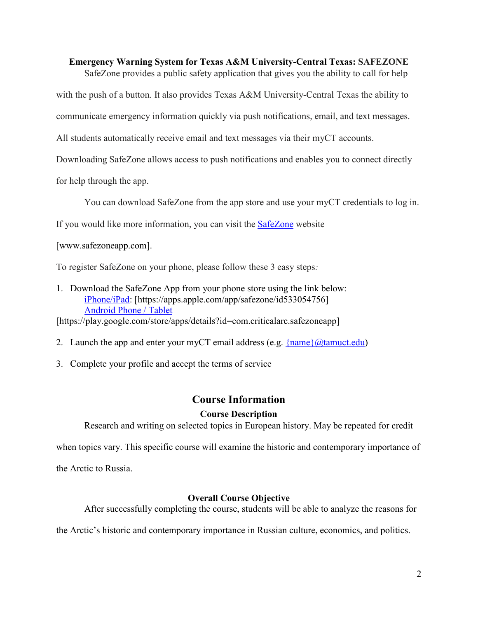# **Emergency Warning System for Texas A&M University-Central Texas: SAFEZONE**

SafeZone provides a public safety application that gives you the ability to call for help

with the push of a button. It also provides Texas A&M University-Central Texas the ability to

communicate emergency information quickly via push notifications, email, and text messages.

All students automatically receive email and text messages via their myCT accounts.

Downloading SafeZone allows access to push notifications and enables you to connect directly

for help through the app.

You can download SafeZone from the app store and use your myCT credentials to log in.

If you would like more information, you can visit the [SafeZone](http://www.safezoneapp.com/) website

[www.safezoneapp.com].

To register SafeZone on your phone, please follow these 3 easy steps*:*

1. Download the SafeZone App from your phone store using the link below: [iPhone/iPad:](https://apps.apple.com/app/safezone/id533054756) [https://apps.apple.com/app/safezone/id533054756] [Android Phone / Tablet](https://play.google.com/store/apps/details?id=com.criticalarc.safezoneapp)

[https://play.google.com/store/apps/details?id=com.criticalarc.safezoneapp]

- 2. Launch the app and enter your myCT email address (e.g.  $\{\text{name}\}\langle\omega\rangle$  tamuct.edu)
- 3. Complete your profile and accept the terms of service

# **Course Information**

# **Course Description**

Research and writing on selected topics in European history. May be repeated for credit

when topics vary. This specific course will examine the historic and contemporary importance of

the Arctic to Russia.

# **Overall Course Objective**

After successfully completing the course, students will be able to analyze the reasons for

the Arctic's historic and contemporary importance in Russian culture, economics, and politics.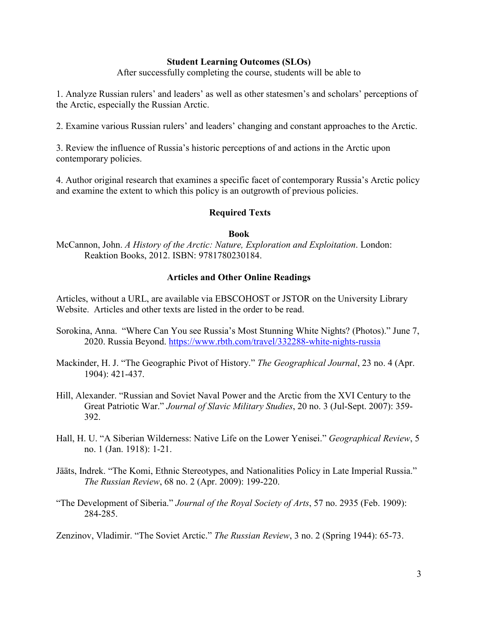## **Student Learning Outcomes (SLOs)**

After successfully completing the course, students will be able to

1. Analyze Russian rulers' and leaders' as well as other statesmen's and scholars' perceptions of the Arctic, especially the Russian Arctic.

2. Examine various Russian rulers' and leaders' changing and constant approaches to the Arctic.

3. Review the influence of Russia's historic perceptions of and actions in the Arctic upon contemporary policies.

4. Author original research that examines a specific facet of contemporary Russia's Arctic policy and examine the extent to which this policy is an outgrowth of previous policies.

## **Required Texts**

### **Book**

McCannon, John. *A History of the Arctic: Nature, Exploration and Exploitation*. London: Reaktion Books, 2012. ISBN: 9781780230184.

## **Articles and Other Online Readings**

Articles, without a URL, are available via EBSCOHOST or JSTOR on the University Library Website. Articles and other texts are listed in the order to be read.

- Sorokina, Anna. "Where Can You see Russia's Most Stunning White Nights? (Photos)." June 7, 2020. Russia Beyond.<https://www.rbth.com/travel/332288-white-nights-russia>
- Mackinder, H. J. "The Geographic Pivot of History." *The Geographical Journal*, 23 no. 4 (Apr. 1904): 421-437.
- Hill, Alexander. "Russian and Soviet Naval Power and the Arctic from the XVI Century to the Great Patriotic War." *Journal of Slavic Military Studies*, 20 no. 3 (Jul-Sept. 2007): 359- 392.
- Hall, H. U. "A Siberian Wilderness: Native Life on the Lower Yenisei." *Geographical Review*, 5 no. 1 (Jan. 1918): 1-21.
- Jääts, Indrek. "The Komi, Ethnic Stereotypes, and Nationalities Policy in Late Imperial Russia." *The Russian Review*, 68 no. 2 (Apr. 2009): 199-220.
- "The Development of Siberia." *Journal of the Royal Society of Arts*, 57 no. 2935 (Feb. 1909): 284-285.

Zenzinov, Vladimir. "The Soviet Arctic." *The Russian Review*, 3 no. 2 (Spring 1944): 65-73.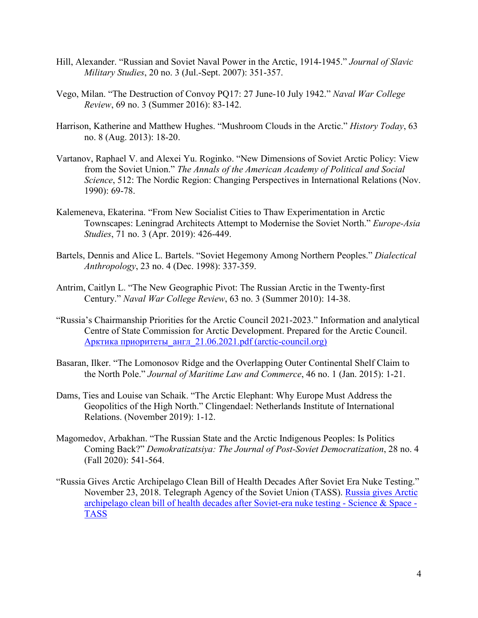- Hill, Alexander. "Russian and Soviet Naval Power in the Arctic, 1914-1945." *Journal of Slavic Military Studies*, 20 no. 3 (Jul.-Sept. 2007): 351-357.
- Vego, Milan. "The Destruction of Convoy PQ17: 27 June-10 July 1942." *Naval War College Review*, 69 no. 3 (Summer 2016): 83-142.
- Harrison, Katherine and Matthew Hughes. "Mushroom Clouds in the Arctic." *History Today*, 63 no. 8 (Aug. 2013): 18-20.
- Vartanov, Raphael V. and Alexei Yu. Roginko. "New Dimensions of Soviet Arctic Policy: View from the Soviet Union." *The Annals of the American Academy of Political and Social Science*, 512: The Nordic Region: Changing Perspectives in International Relations (Nov. 1990): 69-78.
- Kalemeneva, Ekaterina. "From New Socialist Cities to Thaw Experimentation in Arctic Townscapes: Leningrad Architects Attempt to Modernise the Soviet North." *Europe-Asia Studies*, 71 no. 3 (Apr. 2019): 426-449.
- Bartels, Dennis and Alice L. Bartels. "Soviet Hegemony Among Northern Peoples." *Dialectical Anthropology*, 23 no. 4 (Dec. 1998): 337-359.
- Antrim, Caitlyn L. "The New Geographic Pivot: The Russian Arctic in the Twenty-first Century." *Naval War College Review*, 63 no. 3 (Summer 2010): 14-38.
- "Russia's Chairmanship Priorities for the Arctic Council 2021-2023." Information and analytical Centre of State Commission for Arctic Development. Prepared for the Arctic Council. [Арктика приоритеты\\_англ\\_21.06.2021.pdf \(arctic](https://oaarchive.arctic-council.org/bitstream/handle/11374/2646/%d0%90%d1%80%d0%ba%d1%82%d0%b8%d0%ba%d0%b0%20%d0%bf%d1%80%d0%b8%d0%be%d1%80%d0%b8%d1%82%d0%b5%d1%82%d1%8b_%d0%b0%d0%bd%d0%b3%d0%bb_21.06.2021.pdf?sequence=11&isAllowed=y)-council.org)
- Basaran, Ilker. "The Lomonosov Ridge and the Overlapping Outer Continental Shelf Claim to the North Pole." *Journal of Maritime Law and Commerce*, 46 no. 1 (Jan. 2015): 1-21.
- Dams, Ties and Louise van Schaik. "The Arctic Elephant: Why Europe Must Address the Geopolitics of the High North." Clingendael: Netherlands Institute of International Relations. (November 2019): 1-12.
- Magomedov, Arbakhan. "The Russian State and the Arctic Indigenous Peoples: Is Politics Coming Back?" *Demokratizatsiya: The Journal of Post-Soviet Democratization*, 28 no. 4 (Fall 2020): 541-564.
- "Russia Gives Arctic Archipelago Clean Bill of Health Decades After Soviet Era Nuke Testing." November 23, 2018. Telegraph Agency of the Soviet Union (TASS). [Russia gives Arctic](https://tass.com/science/1032159)  [archipelago clean bill of health decades after Soviet-era nuke testing -](https://tass.com/science/1032159) Science & Space - **[TASS](https://tass.com/science/1032159)**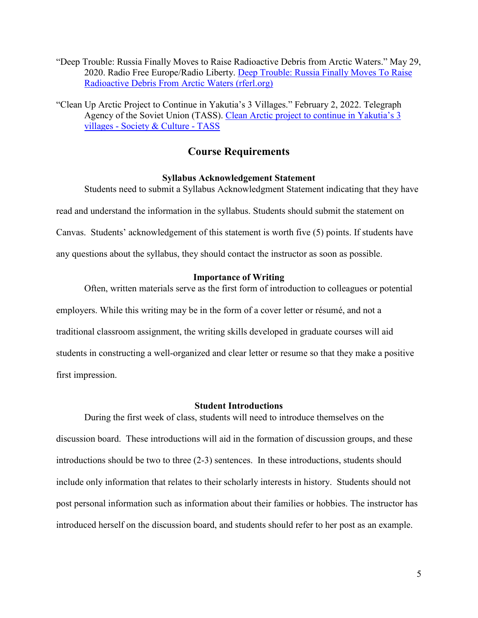"Deep Trouble: Russia Finally Moves to Raise Radioactive Debris from Arctic Waters." May 29, 2020. Radio Free Europe/Radio Liberty. Deep Trouble: Russia Finally Moves To Raise [Radioactive Debris From Arctic Waters \(rferl.org\)](https://www.rferl.org/a/russia-finally-moves-to-raise-radioactive-debris-from-arctic-waters/30640975.html)

"Clean Up Arctic Project to Continue in Yakutia's 3 Villages." February 2, 2022. Telegraph Agency of the Soviet Union (TASS). Clean Arctic project to continue in Yakutia's 3 villages - [Society & Culture -](https://tass.com/society/1396517) TASS

# **Course Requirements**

### **Syllabus Acknowledgement Statement**

Students need to submit a Syllabus Acknowledgment Statement indicating that they have read and understand the information in the syllabus. Students should submit the statement on Canvas. Students' acknowledgement of this statement is worth five (5) points. If students have

any questions about the syllabus, they should contact the instructor as soon as possible.

### **Importance of Writing**

Often, written materials serve as the first form of introduction to colleagues or potential employers. While this writing may be in the form of a cover letter or résumé, and not a traditional classroom assignment, the writing skills developed in graduate courses will aid students in constructing a well-organized and clear letter or resume so that they make a positive first impression.

### **Student Introductions**

During the first week of class, students will need to introduce themselves on the discussion board. These introductions will aid in the formation of discussion groups, and these introductions should be two to three (2-3) sentences. In these introductions, students should include only information that relates to their scholarly interests in history. Students should not post personal information such as information about their families or hobbies. The instructor has introduced herself on the discussion board, and students should refer to her post as an example.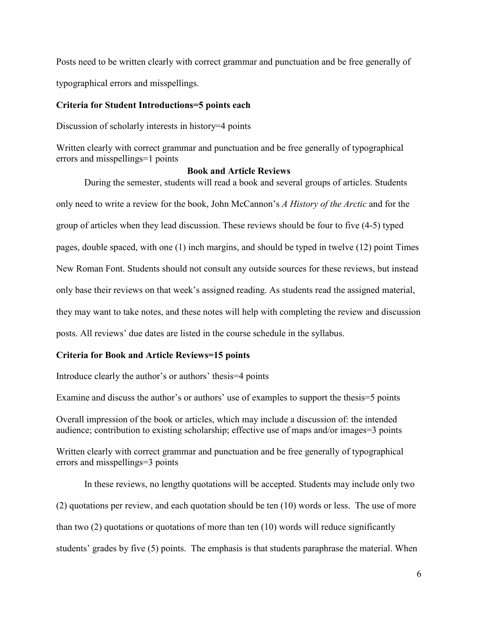Posts need to be written clearly with correct grammar and punctuation and be free generally of typographical errors and misspellings.

## **Criteria for Student Introductions=5 points each**

Discussion of scholarly interests in history=4 points

Written clearly with correct grammar and punctuation and be free generally of typographical errors and misspellings=1 points

## **Book and Article Reviews**

During the semester, students will read a book and several groups of articles. Students only need to write a review for the book, John McCannon's *A History of the Arctic* and for the group of articles when they lead discussion. These reviews should be four to five (4-5) typed pages, double spaced, with one (1) inch margins, and should be typed in twelve (12) point Times New Roman Font. Students should not consult any outside sources for these reviews, but instead only base their reviews on that week's assigned reading. As students read the assigned material, they may want to take notes, and these notes will help with completing the review and discussion posts. All reviews' due dates are listed in the course schedule in the syllabus.

## **Criteria for Book and Article Reviews=15 points**

Introduce clearly the author's or authors' thesis=4 points

Examine and discuss the author's or authors' use of examples to support the thesis=5 points

Overall impression of the book or articles, which may include a discussion of: the intended audience; contribution to existing scholarship; effective use of maps and/or images=3 points

Written clearly with correct grammar and punctuation and be free generally of typographical errors and misspellings=3 points

In these reviews, no lengthy quotations will be accepted. Students may include only two (2) quotations per review, and each quotation should be ten (10) words or less. The use of more than two (2) quotations or quotations of more than ten (10) words will reduce significantly students' grades by five (5) points. The emphasis is that students paraphrase the material. When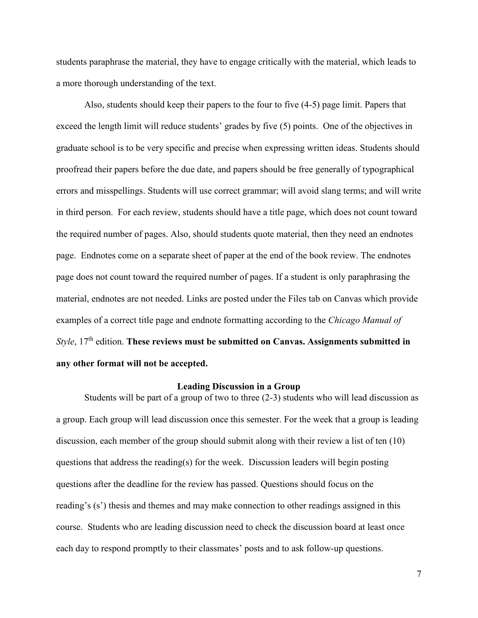students paraphrase the material, they have to engage critically with the material, which leads to a more thorough understanding of the text.

Also, students should keep their papers to the four to five (4-5) page limit. Papers that exceed the length limit will reduce students' grades by five (5) points. One of the objectives in graduate school is to be very specific and precise when expressing written ideas. Students should proofread their papers before the due date, and papers should be free generally of typographical errors and misspellings. Students will use correct grammar; will avoid slang terms; and will write in third person. For each review, students should have a title page, which does not count toward the required number of pages. Also, should students quote material, then they need an endnotes page. Endnotes come on a separate sheet of paper at the end of the book review. The endnotes page does not count toward the required number of pages. If a student is only paraphrasing the material, endnotes are not needed. Links are posted under the Files tab on Canvas which provide examples of a correct title page and endnote formatting according to the *Chicago Manual of Style*, 17th edition. **These reviews must be submitted on Canvas. Assignments submitted in any other format will not be accepted.** 

### **Leading Discussion in a Group**

Students will be part of a group of two to three (2-3) students who will lead discussion as a group. Each group will lead discussion once this semester. For the week that a group is leading discussion, each member of the group should submit along with their review a list of ten (10) questions that address the reading(s) for the week. Discussion leaders will begin posting questions after the deadline for the review has passed. Questions should focus on the reading's (s') thesis and themes and may make connection to other readings assigned in this course. Students who are leading discussion need to check the discussion board at least once each day to respond promptly to their classmates' posts and to ask follow-up questions.

7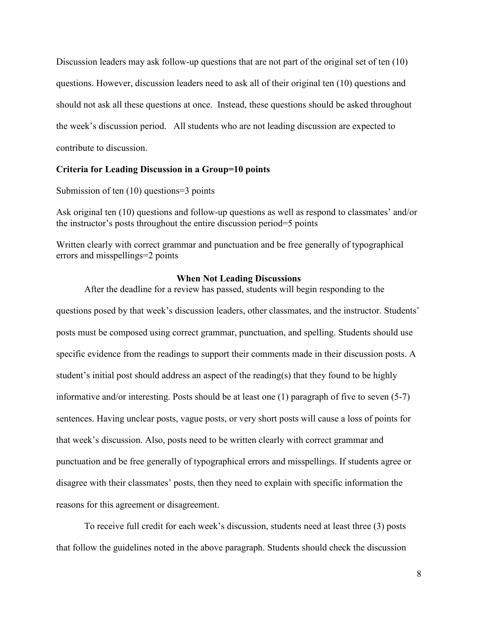Discussion leaders may ask follow-up questions that are not part of the original set of ten (10) questions. However, discussion leaders need to ask all of their original ten (10) questions and should not ask all these questions at once. Instead, these questions should be asked throughout the week's discussion period. All students who are not leading discussion are expected to contribute to discussion.

## **Criteria for Leading Discussion in a Group=10 points**

Submission of ten (10) questions=3 points

Ask original ten (10) questions and follow-up questions as well as respond to classmates' and/or the instructor's posts throughout the entire discussion period=5 points

Written clearly with correct grammar and punctuation and be free generally of typographical errors and misspellings=2 points

### **When Not Leading Discussions**

After the deadline for a review has passed, students will begin responding to the questions posed by that week's discussion leaders, other classmates, and the instructor. Students' posts must be composed using correct grammar, punctuation, and spelling. Students should use specific evidence from the readings to support their comments made in their discussion posts. A student's initial post should address an aspect of the reading(s) that they found to be highly informative and/or interesting. Posts should be at least one (1) paragraph of five to seven (5-7) sentences. Having unclear posts, vague posts, or very short posts will cause a loss of points for that week's discussion. Also, posts need to be written clearly with correct grammar and punctuation and be free generally of typographical errors and misspellings. If students agree or disagree with their classmates' posts, then they need to explain with specific information the reasons for this agreement or disagreement.

To receive full credit for each week's discussion, students need at least three (3) posts that follow the guidelines noted in the above paragraph. Students should check the discussion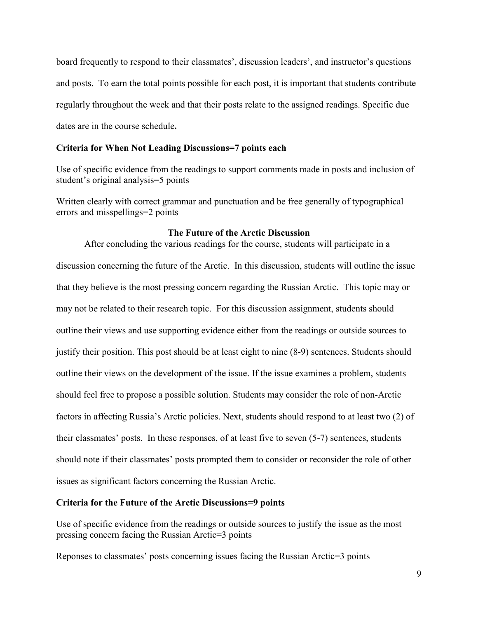board frequently to respond to their classmates', discussion leaders', and instructor's questions and posts. To earn the total points possible for each post, it is important that students contribute regularly throughout the week and that their posts relate to the assigned readings. Specific due dates are in the course schedule**.** 

### **Criteria for When Not Leading Discussions=7 points each**

Use of specific evidence from the readings to support comments made in posts and inclusion of student's original analysis=5 points

Written clearly with correct grammar and punctuation and be free generally of typographical errors and misspellings=2 points

### **The Future of the Arctic Discussion**

After concluding the various readings for the course, students will participate in a discussion concerning the future of the Arctic. In this discussion, students will outline the issue that they believe is the most pressing concern regarding the Russian Arctic. This topic may or may not be related to their research topic. For this discussion assignment, students should outline their views and use supporting evidence either from the readings or outside sources to justify their position. This post should be at least eight to nine (8-9) sentences. Students should outline their views on the development of the issue. If the issue examines a problem, students should feel free to propose a possible solution. Students may consider the role of non-Arctic factors in affecting Russia's Arctic policies. Next, students should respond to at least two (2) of their classmates' posts. In these responses, of at least five to seven (5-7) sentences, students should note if their classmates' posts prompted them to consider or reconsider the role of other issues as significant factors concerning the Russian Arctic.

### **Criteria for the Future of the Arctic Discussions=9 points**

Use of specific evidence from the readings or outside sources to justify the issue as the most pressing concern facing the Russian Arctic=3 points

Reponses to classmates' posts concerning issues facing the Russian Arctic=3 points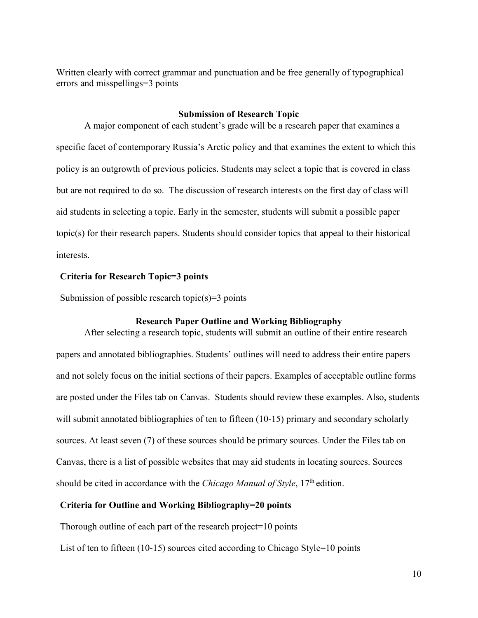Written clearly with correct grammar and punctuation and be free generally of typographical errors and misspellings=3 points

### **Submission of Research Topic**

A major component of each student's grade will be a research paper that examines a specific facet of contemporary Russia's Arctic policy and that examines the extent to which this policy is an outgrowth of previous policies. Students may select a topic that is covered in class but are not required to do so. The discussion of research interests on the first day of class will aid students in selecting a topic. Early in the semester, students will submit a possible paper topic(s) for their research papers. Students should consider topics that appeal to their historical interests.

### **Criteria for Research Topic=3 points**

Submission of possible research topic(s)=3 points

### **Research Paper Outline and Working Bibliography**

After selecting a research topic, students will submit an outline of their entire research papers and annotated bibliographies. Students' outlines will need to address their entire papers and not solely focus on the initial sections of their papers. Examples of acceptable outline forms are posted under the Files tab on Canvas. Students should review these examples. Also, students will submit annotated bibliographies of ten to fifteen (10-15) primary and secondary scholarly sources. At least seven (7) of these sources should be primary sources. Under the Files tab on Canvas, there is a list of possible websites that may aid students in locating sources. Sources should be cited in accordance with the *Chicago Manual of Style*, 17th edition.

### **Criteria for Outline and Working Bibliography=20 points**

Thorough outline of each part of the research project=10 points

List of ten to fifteen (10-15) sources cited according to Chicago Style=10 points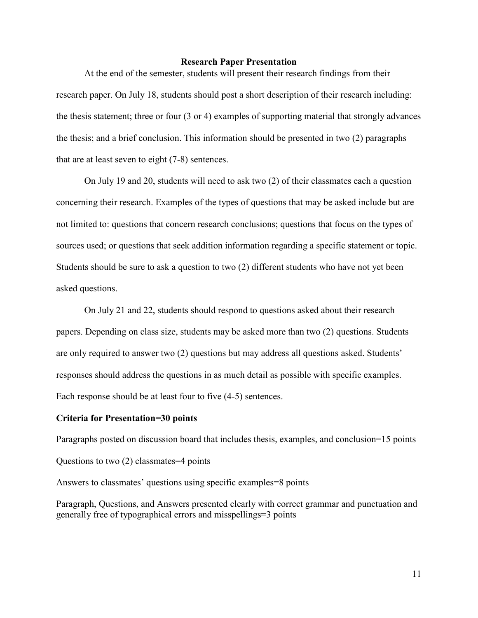#### **Research Paper Presentation**

At the end of the semester, students will present their research findings from their research paper. On July 18, students should post a short description of their research including: the thesis statement; three or four (3 or 4) examples of supporting material that strongly advances the thesis; and a brief conclusion. This information should be presented in two (2) paragraphs that are at least seven to eight (7-8) sentences.

On July 19 and 20, students will need to ask two (2) of their classmates each a question concerning their research. Examples of the types of questions that may be asked include but are not limited to: questions that concern research conclusions; questions that focus on the types of sources used; or questions that seek addition information regarding a specific statement or topic. Students should be sure to ask a question to two (2) different students who have not yet been asked questions.

On July 21 and 22, students should respond to questions asked about their research papers. Depending on class size, students may be asked more than two (2) questions. Students are only required to answer two (2) questions but may address all questions asked. Students' responses should address the questions in as much detail as possible with specific examples. Each response should be at least four to five (4-5) sentences.

### **Criteria for Presentation=30 points**

Paragraphs posted on discussion board that includes thesis, examples, and conclusion=15 points Questions to two (2) classmates=4 points

Answers to classmates' questions using specific examples=8 points

Paragraph, Questions, and Answers presented clearly with correct grammar and punctuation and generally free of typographical errors and misspellings=3 points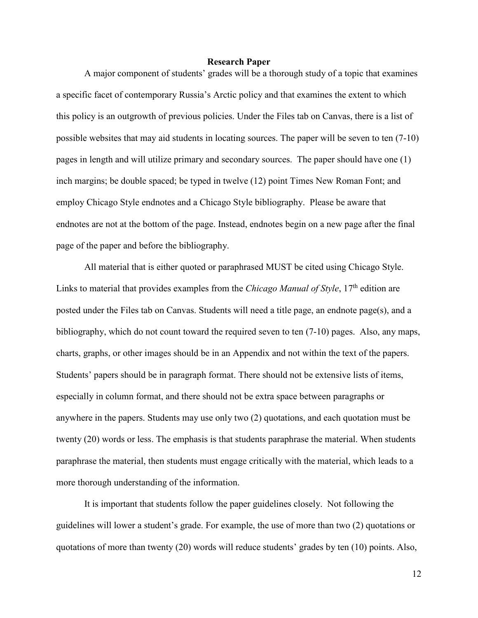### **Research Paper**

A major component of students' grades will be a thorough study of a topic that examines a specific facet of contemporary Russia's Arctic policy and that examines the extent to which this policy is an outgrowth of previous policies. Under the Files tab on Canvas, there is a list of possible websites that may aid students in locating sources. The paper will be seven to ten (7-10) pages in length and will utilize primary and secondary sources. The paper should have one (1) inch margins; be double spaced; be typed in twelve (12) point Times New Roman Font; and employ Chicago Style endnotes and a Chicago Style bibliography. Please be aware that endnotes are not at the bottom of the page. Instead, endnotes begin on a new page after the final page of the paper and before the bibliography.

All material that is either quoted or paraphrased MUST be cited using Chicago Style. Links to material that provides examples from the *Chicago Manual of Style*, 17<sup>th</sup> edition are posted under the Files tab on Canvas. Students will need a title page, an endnote page(s), and a bibliography, which do not count toward the required seven to ten (7-10) pages. Also, any maps, charts, graphs, or other images should be in an Appendix and not within the text of the papers. Students' papers should be in paragraph format. There should not be extensive lists of items, especially in column format, and there should not be extra space between paragraphs or anywhere in the papers. Students may use only two (2) quotations, and each quotation must be twenty (20) words or less. The emphasis is that students paraphrase the material. When students paraphrase the material, then students must engage critically with the material, which leads to a more thorough understanding of the information.

It is important that students follow the paper guidelines closely. Not following the guidelines will lower a student's grade. For example, the use of more than two (2) quotations or quotations of more than twenty (20) words will reduce students' grades by ten (10) points. Also,

12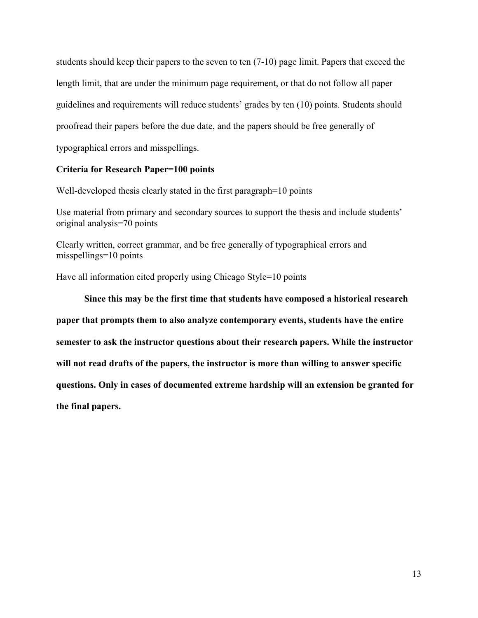students should keep their papers to the seven to ten (7-10) page limit. Papers that exceed the length limit, that are under the minimum page requirement, or that do not follow all paper guidelines and requirements will reduce students' grades by ten (10) points. Students should proofread their papers before the due date, and the papers should be free generally of typographical errors and misspellings.

## **Criteria for Research Paper=100 points**

Well-developed thesis clearly stated in the first paragraph=10 points

Use material from primary and secondary sources to support the thesis and include students' original analysis=70 points

Clearly written, correct grammar, and be free generally of typographical errors and misspellings=10 points

Have all information cited properly using Chicago Style=10 points

**Since this may be the first time that students have composed a historical research paper that prompts them to also analyze contemporary events, students have the entire semester to ask the instructor questions about their research papers. While the instructor will not read drafts of the papers, the instructor is more than willing to answer specific questions. Only in cases of documented extreme hardship will an extension be granted for the final papers.**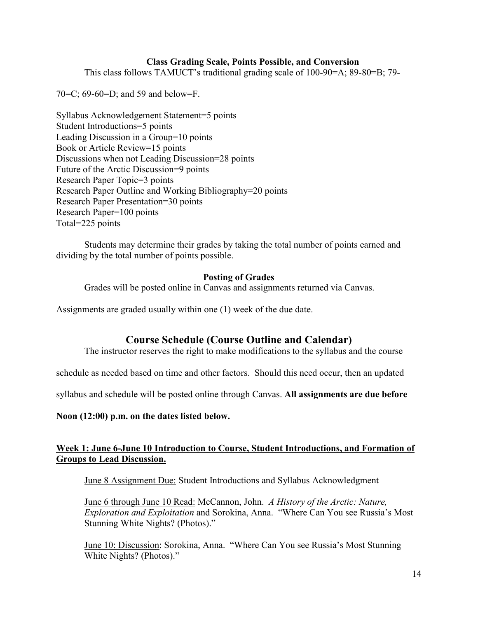# **Class Grading Scale, Points Possible, and Conversion**

This class follows TAMUCT's traditional grading scale of 100-90=A; 89-80=B; 79-

70=C; 69-60=D; and 59 and below=F.

Syllabus Acknowledgement Statement=5 points Student Introductions=5 points Leading Discussion in a Group=10 points Book or Article Review=15 points Discussions when not Leading Discussion=28 points Future of the Arctic Discussion=9 points Research Paper Topic=3 points Research Paper Outline and Working Bibliography=20 points Research Paper Presentation=30 points Research Paper=100 points Total=225 points

Students may determine their grades by taking the total number of points earned and dividing by the total number of points possible.

## **Posting of Grades**

Grades will be posted online in Canvas and assignments returned via Canvas.

Assignments are graded usually within one (1) week of the due date.

# **Course Schedule (Course Outline and Calendar)**

The instructor reserves the right to make modifications to the syllabus and the course

schedule as needed based on time and other factors. Should this need occur, then an updated

syllabus and schedule will be posted online through Canvas. **All assignments are due before** 

**Noon (12:00) p.m. on the dates listed below.** 

# **Week 1: June 6-June 10 Introduction to Course, Student Introductions, and Formation of Groups to Lead Discussion.**

June 8 Assignment Due: Student Introductions and Syllabus Acknowledgment

June 6 through June 10 Read: McCannon, John. *A History of the Arctic: Nature, Exploration and Exploitation* and Sorokina, Anna. "Where Can You see Russia's Most Stunning White Nights? (Photos)."

June 10: Discussion: Sorokina, Anna. "Where Can You see Russia's Most Stunning White Nights? (Photos)."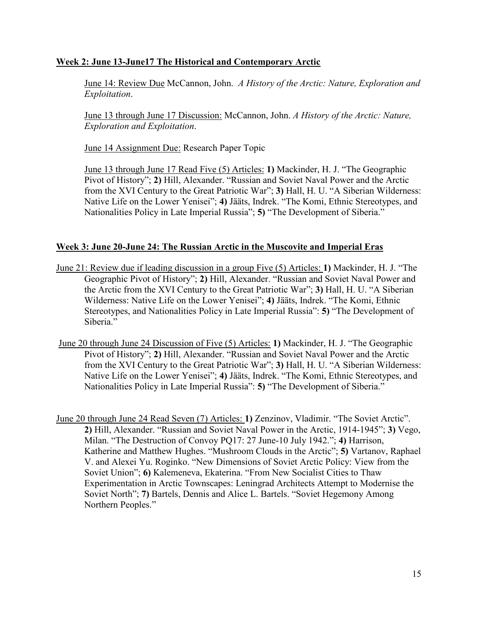# **Week 2: June 13-June17 The Historical and Contemporary Arctic**

June 14: Review Due McCannon, John. *A History of the Arctic: Nature, Exploration and Exploitation*.

June 13 through June 17 Discussion: McCannon, John. *A History of the Arctic: Nature, Exploration and Exploitation*.

June 14 Assignment Due: Research Paper Topic

June 13 through June 17 Read Five (5) Articles: **1)** Mackinder, H. J. "The Geographic Pivot of History"; **2)** Hill, Alexander. "Russian and Soviet Naval Power and the Arctic from the XVI Century to the Great Patriotic War"; **3)** Hall, H. U. "A Siberian Wilderness: Native Life on the Lower Yenisei"; **4)** Jääts, Indrek. "The Komi, Ethnic Stereotypes, and Nationalities Policy in Late Imperial Russia"; **5)** "The Development of Siberia."

# **Week 3: June 20-June 24: The Russian Arctic in the Muscovite and Imperial Eras**

- June 21: Review due if leading discussion in a group Five (5) Articles: **1)** Mackinder, H. J. "The Geographic Pivot of History"; **2)** Hill, Alexander. "Russian and Soviet Naval Power and the Arctic from the XVI Century to the Great Patriotic War"; **3)** Hall, H. U. "A Siberian Wilderness: Native Life on the Lower Yenisei"; **4)** Jääts, Indrek. "The Komi, Ethnic Stereotypes, and Nationalities Policy in Late Imperial Russia": **5)** "The Development of Siberia."
- June 20 through June 24 Discussion of Five (5) Articles: **1)** Mackinder, H. J. "The Geographic Pivot of History"; **2)** Hill, Alexander. "Russian and Soviet Naval Power and the Arctic from the XVI Century to the Great Patriotic War"; **3)** Hall, H. U. "A Siberian Wilderness: Native Life on the Lower Yenisei"; **4)** Jääts, Indrek. "The Komi, Ethnic Stereotypes, and Nationalities Policy in Late Imperial Russia": **5)** "The Development of Siberia."
- June 20 through June 24 Read Seven (7) Articles: **1)** Zenzinov, Vladimir. "The Soviet Arctic". **2)** Hill, Alexander. "Russian and Soviet Naval Power in the Arctic, 1914-1945"; **3)** Vego, Milan. "The Destruction of Convoy PQ17: 27 June-10 July 1942."; **4)** Harrison, Katherine and Matthew Hughes. "Mushroom Clouds in the Arctic"; **5)** Vartanov, Raphael V. and Alexei Yu. Roginko. "New Dimensions of Soviet Arctic Policy: View from the Soviet Union"; **6)** Kalemeneva, Ekaterina. "From New Socialist Cities to Thaw Experimentation in Arctic Townscapes: Leningrad Architects Attempt to Modernise the Soviet North"; **7)** Bartels, Dennis and Alice L. Bartels. "Soviet Hegemony Among Northern Peoples."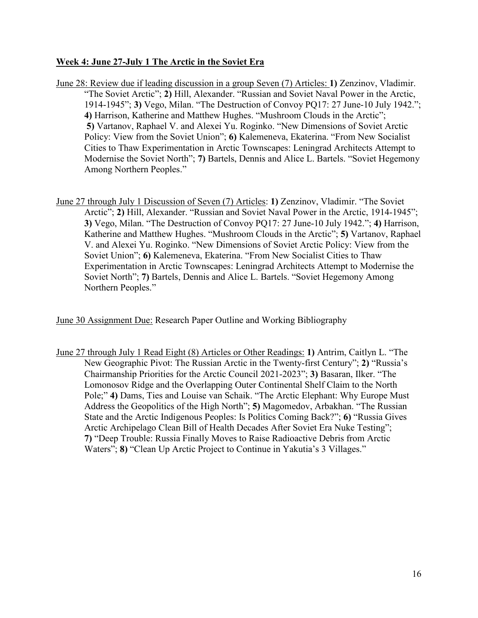## **Week 4: June 27-July 1 The Arctic in the Soviet Era**

- June 28: Review due if leading discussion in a group Seven (7) Articles: **1)** Zenzinov, Vladimir. "The Soviet Arctic"; **2)** Hill, Alexander. "Russian and Soviet Naval Power in the Arctic, 1914-1945"; **3)** Vego, Milan. "The Destruction of Convoy PQ17: 27 June-10 July 1942."; **4)** Harrison, Katherine and Matthew Hughes. "Mushroom Clouds in the Arctic"; **5)** Vartanov, Raphael V. and Alexei Yu. Roginko. "New Dimensions of Soviet Arctic Policy: View from the Soviet Union"; **6)** Kalemeneva, Ekaterina. "From New Socialist Cities to Thaw Experimentation in Arctic Townscapes: Leningrad Architects Attempt to Modernise the Soviet North"; **7)** Bartels, Dennis and Alice L. Bartels. "Soviet Hegemony Among Northern Peoples."
- June 27 through July 1 Discussion of Seven (7) Articles: **1)** Zenzinov, Vladimir. "The Soviet Arctic"; **2)** Hill, Alexander. "Russian and Soviet Naval Power in the Arctic, 1914-1945"; **3)** Vego, Milan. "The Destruction of Convoy PQ17: 27 June-10 July 1942."; **4)** Harrison, Katherine and Matthew Hughes. "Mushroom Clouds in the Arctic"; **5)** Vartanov, Raphael V. and Alexei Yu. Roginko. "New Dimensions of Soviet Arctic Policy: View from the Soviet Union"; **6)** Kalemeneva, Ekaterina. "From New Socialist Cities to Thaw Experimentation in Arctic Townscapes: Leningrad Architects Attempt to Modernise the Soviet North"; **7)** Bartels, Dennis and Alice L. Bartels. "Soviet Hegemony Among Northern Peoples."

June 30 Assignment Due: Research Paper Outline and Working Bibliography

June 27 through July 1 Read Eight (8) Articles or Other Readings: **1)** Antrim, Caitlyn L. "The New Geographic Pivot: The Russian Arctic in the Twenty-first Century"; **2)** "Russia's Chairmanship Priorities for the Arctic Council 2021-2023"; **3)** Basaran, Ilker. "The Lomonosov Ridge and the Overlapping Outer Continental Shelf Claim to the North Pole;" **4)** Dams, Ties and Louise van Schaik. "The Arctic Elephant: Why Europe Must Address the Geopolitics of the High North"; **5)** Magomedov, Arbakhan. "The Russian State and the Arctic Indigenous Peoples: Is Politics Coming Back?"; **6)** "Russia Gives Arctic Archipelago Clean Bill of Health Decades After Soviet Era Nuke Testing"; **7)** "Deep Trouble: Russia Finally Moves to Raise Radioactive Debris from Arctic Waters"; **8)** "Clean Up Arctic Project to Continue in Yakutia's 3 Villages."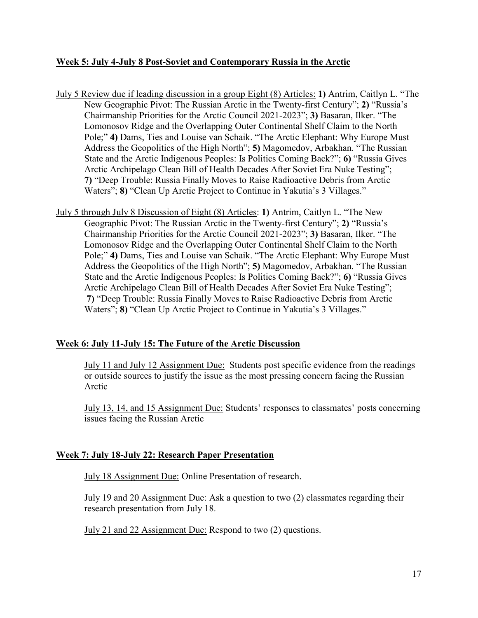# **Week 5: July 4-July 8 Post-Soviet and Contemporary Russia in the Arctic**

- July 5 Review due if leading discussion in a group Eight (8) Articles: **1)** Antrim, Caitlyn L. "The New Geographic Pivot: The Russian Arctic in the Twenty-first Century"; **2)** "Russia's Chairmanship Priorities for the Arctic Council 2021-2023"; **3)** Basaran, Ilker. "The Lomonosov Ridge and the Overlapping Outer Continental Shelf Claim to the North Pole;" **4)** Dams, Ties and Louise van Schaik. "The Arctic Elephant: Why Europe Must Address the Geopolitics of the High North"; **5)** Magomedov, Arbakhan. "The Russian State and the Arctic Indigenous Peoples: Is Politics Coming Back?"; **6)** "Russia Gives Arctic Archipelago Clean Bill of Health Decades After Soviet Era Nuke Testing"; **7)** "Deep Trouble: Russia Finally Moves to Raise Radioactive Debris from Arctic Waters"; **8)** "Clean Up Arctic Project to Continue in Yakutia's 3 Villages."
- July 5 through July 8 Discussion of Eight (8) Articles: **1)** Antrim, Caitlyn L. "The New Geographic Pivot: The Russian Arctic in the Twenty-first Century"; **2)** "Russia's Chairmanship Priorities for the Arctic Council 2021-2023"; **3)** Basaran, Ilker. "The Lomonosov Ridge and the Overlapping Outer Continental Shelf Claim to the North Pole;" **4)** Dams, Ties and Louise van Schaik. "The Arctic Elephant: Why Europe Must Address the Geopolitics of the High North"; **5)** Magomedov, Arbakhan. "The Russian State and the Arctic Indigenous Peoples: Is Politics Coming Back?"; **6)** "Russia Gives Arctic Archipelago Clean Bill of Health Decades After Soviet Era Nuke Testing"; **7)** "Deep Trouble: Russia Finally Moves to Raise Radioactive Debris from Arctic Waters"; **8)** "Clean Up Arctic Project to Continue in Yakutia's 3 Villages."

# **Week 6: July 11-July 15: The Future of the Arctic Discussion**

July 11 and July 12 Assignment Due: Students post specific evidence from the readings or outside sources to justify the issue as the most pressing concern facing the Russian Arctic

July 13, 14, and 15 Assignment Due: Students' responses to classmates' posts concerning issues facing the Russian Arctic

# **Week 7: July 18-July 22: Research Paper Presentation**

July 18 Assignment Due: Online Presentation of research.

July 19 and 20 Assignment Due: Ask a question to two (2) classmates regarding their research presentation from July 18.

July 21 and 22 Assignment Due: Respond to two (2) questions.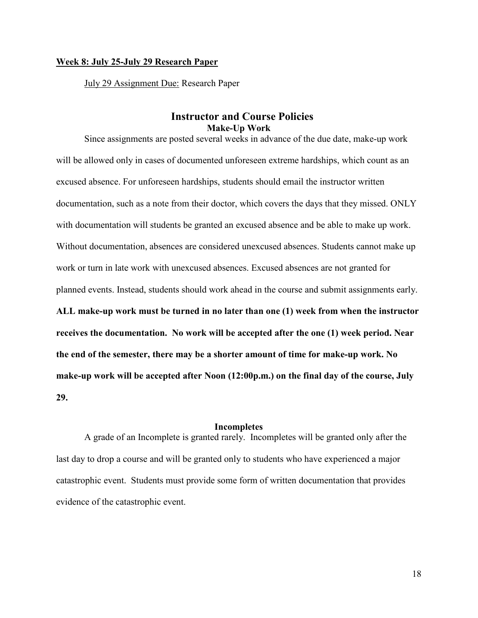#### **Week 8: July 25-July 29 Research Paper**

July 29 Assignment Due: Research Paper

# **Instructor and Course Policies Make-Up Work**

Since assignments are posted several weeks in advance of the due date, make-up work will be allowed only in cases of documented unforeseen extreme hardships, which count as an excused absence. For unforeseen hardships, students should email the instructor written documentation, such as a note from their doctor, which covers the days that they missed. ONLY with documentation will students be granted an excused absence and be able to make up work. Without documentation, absences are considered unexcused absences. Students cannot make up work or turn in late work with unexcused absences. Excused absences are not granted for planned events. Instead, students should work ahead in the course and submit assignments early. **ALL make-up work must be turned in no later than one (1) week from when the instructor receives the documentation. No work will be accepted after the one (1) week period. Near the end of the semester, there may be a shorter amount of time for make-up work. No make-up work will be accepted after Noon (12:00p.m.) on the final day of the course, July 29.** 

### **Incompletes**

A grade of an Incomplete is granted rarely. Incompletes will be granted only after the last day to drop a course and will be granted only to students who have experienced a major catastrophic event. Students must provide some form of written documentation that provides evidence of the catastrophic event.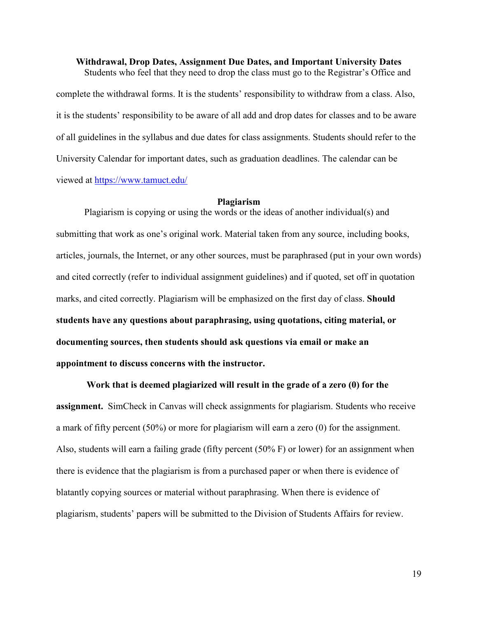### **Withdrawal, Drop Dates, Assignment Due Dates, and Important University Dates** Students who feel that they need to drop the class must go to the Registrar's Office and

complete the withdrawal forms. It is the students' responsibility to withdraw from a class. Also, it is the students' responsibility to be aware of all add and drop dates for classes and to be aware of all guidelines in the syllabus and due dates for class assignments. Students should refer to the University Calendar for important dates, such as graduation deadlines. The calendar can be viewed at<https://www.tamuct.edu/>

### **Plagiarism**

Plagiarism is copying or using the words or the ideas of another individual(s) and submitting that work as one's original work. Material taken from any source, including books, articles, journals, the Internet, or any other sources, must be paraphrased (put in your own words) and cited correctly (refer to individual assignment guidelines) and if quoted, set off in quotation marks, and cited correctly. Plagiarism will be emphasized on the first day of class. **Should students have any questions about paraphrasing, using quotations, citing material, or documenting sources, then students should ask questions via email or make an appointment to discuss concerns with the instructor.** 

**Work that is deemed plagiarized will result in the grade of a zero (0) for the assignment.** SimCheck in Canvas will check assignments for plagiarism. Students who receive a mark of fifty percent (50%) or more for plagiarism will earn a zero (0) for the assignment. Also, students will earn a failing grade (fifty percent (50% F) or lower) for an assignment when there is evidence that the plagiarism is from a purchased paper or when there is evidence of blatantly copying sources or material without paraphrasing. When there is evidence of plagiarism, students' papers will be submitted to the Division of Students Affairs for review.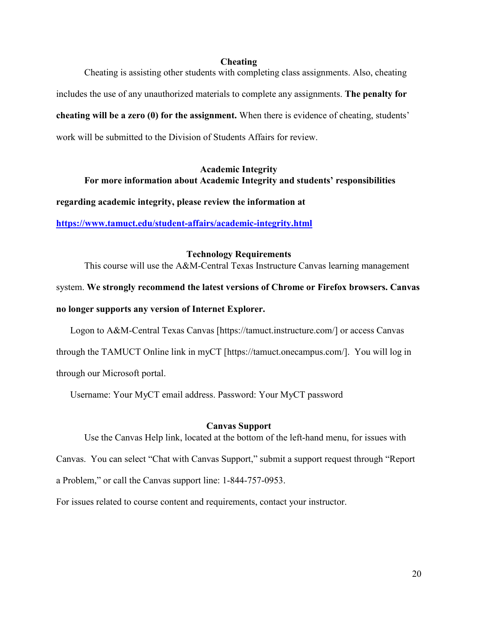#### **Cheating**

Cheating is assisting other students with completing class assignments. Also, cheating includes the use of any unauthorized materials to complete any assignments. **The penalty for cheating will be a zero (0) for the assignment.** When there is evidence of cheating, students' work will be submitted to the Division of Students Affairs for review.

# **Academic Integrity For more information about Academic Integrity and students' responsibilities**

**regarding academic integrity, please review the information at** 

**<https://www.tamuct.edu/student-affairs/academic-integrity.html>**

## **Technology Requirements**

This course will use the A&M-Central Texas Instructure Canvas learning management

system. **We strongly recommend the latest versions of Chrome or Firefox browsers. Canvas no longer supports any version of Internet Explorer.**

Logon to A&M-Central Texas Canvas [https://tamuct.instructure.com/] or access Canvas through the TAMUCT Online link in myCT [https://tamuct.onecampus.com/]. You will log in through our Microsoft portal.

Username: Your MyCT email address. Password: Your MyCT password

## **Canvas Support**

Use the Canvas Help link, located at the bottom of the left-hand menu, for issues with Canvas. You can select "Chat with Canvas Support," submit a support request through "Report a Problem," or call the Canvas support line: 1-844-757-0953.

For issues related to course content and requirements, contact your instructor.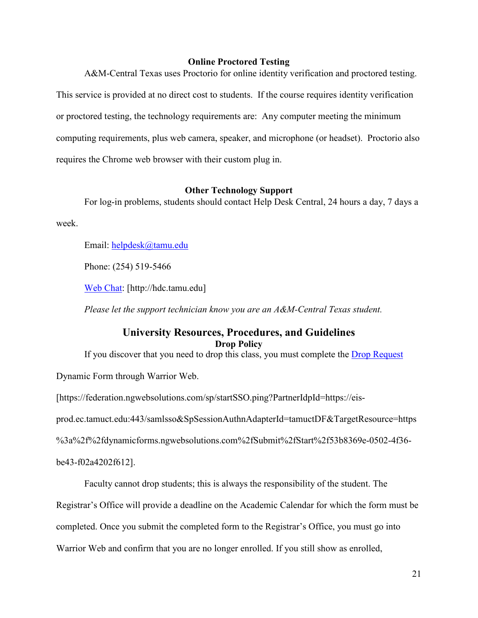### **Online Proctored Testing**

A&M-Central Texas uses Proctorio for online identity verification and proctored testing. This service is provided at no direct cost to students. If the course requires identity verification or proctored testing, the technology requirements are: Any computer meeting the minimum computing requirements, plus web camera, speaker, and microphone (or headset). Proctorio also requires the Chrome web browser with their custom plug in.

## **Other Technology Support**

For log-in problems, students should contact Help Desk Central, 24 hours a day, 7 days a week.

Email: [helpdesk@tamu.edu](mailto:helpdesk@tamu.edu)

Phone: (254) 519-5466

[Web Chat:](http://hdc.tamu.edu/) [http://hdc.tamu.edu]

*Please let the support technician know you are an A&M-Central Texas student.*

# **University Resources, Procedures, and Guidelines Drop Policy**

If you discover that you need to drop this class, you must complete the [Drop Request](https://federation.ngwebsolutions.com/sp/startSSO.ping?PartnerIdpId=https://eis-prod.ec.tamuct.edu:443/samlsso&SpSessionAuthnAdapterId=tamuctDF&TargetResource=https%3a%2f%2fdynamicforms.ngwebsolutions.com%2fSubmit%2fStart%2f53b8369e-0502-4f36-be43-f02a4202f612)

Dynamic Form through Warrior Web.

[https://federation.ngwebsolutions.com/sp/startSSO.ping?PartnerIdpId=https://eis-

prod.ec.tamuct.edu:443/samlsso&SpSessionAuthnAdapterId=tamuctDF&TargetResource=https

%3a%2f%2fdynamicforms.ngwebsolutions.com%2fSubmit%2fStart%2f53b8369e-0502-4f36-

be43-f02a4202f612].

Faculty cannot drop students; this is always the responsibility of the student. The

Registrar's Office will provide a deadline on the Academic Calendar for which the form must be

completed. Once you submit the completed form to the Registrar's Office, you must go into

Warrior Web and confirm that you are no longer enrolled. If you still show as enrolled,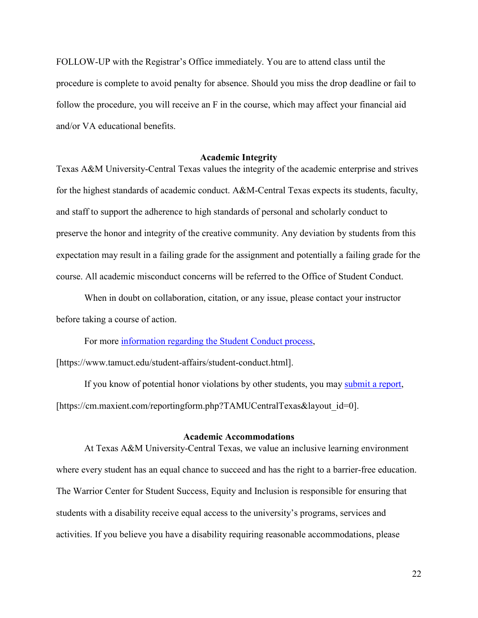FOLLOW-UP with the Registrar's Office immediately. You are to attend class until the procedure is complete to avoid penalty for absence. Should you miss the drop deadline or fail to follow the procedure, you will receive an F in the course, which may affect your financial aid and/or VA educational benefits.

#### **Academic Integrity**

Texas A&M University-Central Texas values the integrity of the academic enterprise and strives for the highest standards of academic conduct. A&M-Central Texas expects its students, faculty, and staff to support the adherence to high standards of personal and scholarly conduct to preserve the honor and integrity of the creative community. Any deviation by students from this expectation may result in a failing grade for the assignment and potentially a failing grade for the course. All academic misconduct concerns will be referred to the Office of Student Conduct.

When in doubt on collaboration, citation, or any issue, please contact your instructor before taking a course of action.

For more [information](https://nam04.safelinks.protection.outlook.com/?url=https%3A%2F%2Fwww.tamuct.edu%2Fstudent-affairs%2Fstudent-conduct.html&data=04%7C01%7Clisa.bunkowski%40tamuct.edu%7Ccfb6e486f24745f53e1a08d910055cb2%7C9eed4e3000f744849ff193ad8005acec%7C0%7C0%7C637558437485252160%7CUnknown%7CTWFpbGZsb3d8eyJWIjoiMC4wLjAwMDAiLCJQIjoiV2luMzIiLCJBTiI6Ik1haWwiLCJXVCI6Mn0%3D%7C1000&sdata=yjftDEVHvLX%2FhM%2FcFU0B99krV1RgEWR%2BJ%2BhvtoR6TYk%3D&reserved=0) regarding the Student Conduct process,

[https://www.tamuct.edu/student-affairs/student-conduct.html].

If you know of potential honor violations by other students, you may [submit](https://nam04.safelinks.protection.outlook.com/?url=https%3A%2F%2Fcm.maxient.com%2Freportingform.php%3FTAMUCentralTexas%26layout_id%3D0&data=04%7C01%7Clisa.bunkowski%40tamuct.edu%7Ccfb6e486f24745f53e1a08d910055cb2%7C9eed4e3000f744849ff193ad8005acec%7C0%7C0%7C637558437485262157%7CUnknown%7CTWFpbGZsb3d8eyJWIjoiMC4wLjAwMDAiLCJQIjoiV2luMzIiLCJBTiI6Ik1haWwiLCJXVCI6Mn0%3D%7C1000&sdata=CXGkOa6uPDPX1IMZ87z3aZDq2n91xfHKu4MMS43Ejjk%3D&reserved=0) a report, [https://cm.maxient.com/reportingform.php?TAMUCentralTexas&layout\_id=0].

### **Academic Accommodations**

At Texas A&M University-Central Texas, we value an inclusive learning environment where every student has an equal chance to succeed and has the right to a barrier-free education. The Warrior Center for Student Success, Equity and Inclusion is responsible for ensuring that students with a disability receive equal access to the university's programs, services and activities. If you believe you have a disability requiring reasonable accommodations, please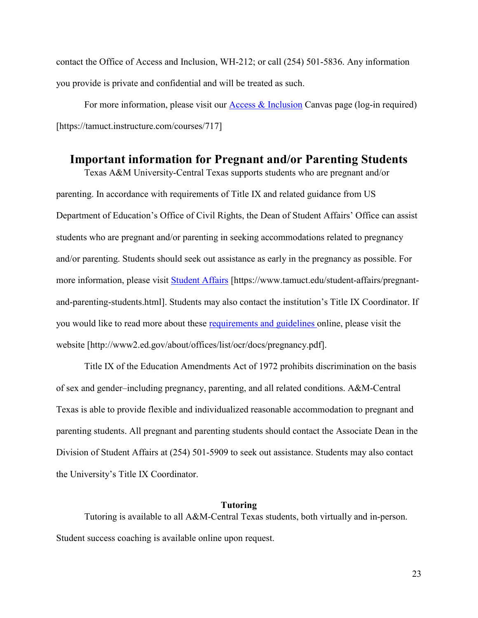contact the Office of Access and Inclusion, WH-212; or call (254) 501-5836. Any information you provide is private and confidential and will be treated as such.

For more information, please visit our [Access & Inclusion](https://tamuct.instructure.com/courses/717) Canvas page (log-in required) [https://tamuct.instructure.com/courses/717]

# **Important information for Pregnant and/or Parenting Students**

Texas A&M University-Central Texas supports students who are pregnant and/or parenting. In accordance with requirements of Title IX and related guidance from US Department of Education's Office of Civil Rights, the Dean of Student Affairs' Office can assist students who are pregnant and/or parenting in seeking accommodations related to pregnancy and/or parenting. Students should seek out assistance as early in the pregnancy as possible. For more information, please visit [Student Affairs](https://www.tamuct.edu/student-affairs/pregnant-and-parenting-students.html) [https://www.tamuct.edu/student-affairs/pregnantand-parenting-students.html]. Students may also contact the institution's Title IX Coordinator. If you would like to read more about these [requirements and guidelines](http://www2.ed.gov/about/offices/list/ocr/docs/pregnancy.pdf) online, please visit the website [http://www2.ed.gov/about/offices/list/ocr/docs/pregnancy.pdf].

Title IX of the Education Amendments Act of 1972 prohibits discrimination on the basis of sex and gender–including pregnancy, parenting, and all related conditions. A&M-Central Texas is able to provide flexible and individualized reasonable accommodation to pregnant and parenting students. All pregnant and parenting students should contact the Associate Dean in the Division of Student Affairs at (254) 501-5909 to seek out assistance. Students may also contact the University's Title IX Coordinator.

#### **Tutoring**

Tutoring is available to all A&M-Central Texas students, both virtually and in-person. Student success coaching is available online upon request.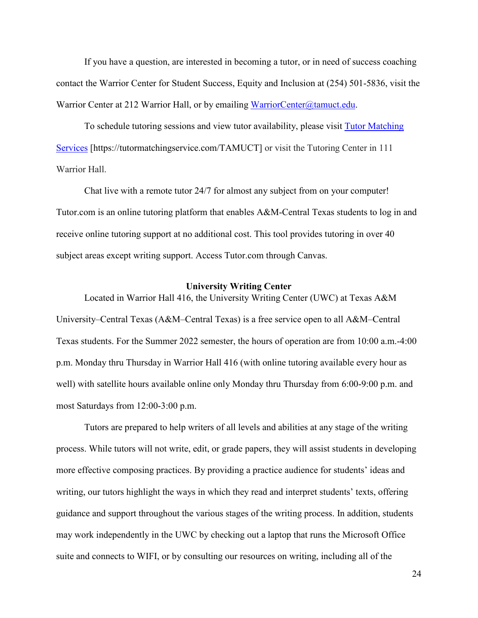If you have a question, are interested in becoming a tutor, or in need of success coaching contact the Warrior Center for Student Success, Equity and Inclusion at (254) 501-5836, visit the Warrior Center at 212 Warrior Hall, or by emailing [WarriorCenter@tamuct.edu.](mailto:WarriorCenter@tamuct.edu)

To schedule tutoring sessions and view tutor availability, please visit Tutor [Matching](https://tutormatchingservice.com/TAMUCT) [Services](https://tutormatchingservice.com/TAMUCT) [https://tutormatchingservice.com/TAMUCT] or visit the Tutoring Center in 111 Warrior Hall.

Chat live with a remote tutor 24/7 for almost any subject from on your computer! Tutor.com is an online tutoring platform that enables A&M-Central Texas students to log in and receive online tutoring support at no additional cost. This tool provides tutoring in over 40 subject areas except writing support. Access Tutor.com through Canvas.

### **University Writing Center**

Located in Warrior Hall 416, the University Writing Center (UWC) at Texas A&M University–Central Texas (A&M–Central Texas) is a free service open to all A&M–Central Texas students. For the Summer 2022 semester, the hours of operation are from 10:00 a.m.-4:00 p.m. Monday thru Thursday in Warrior Hall 416 (with online tutoring available every hour as well) with satellite hours available online only Monday thru Thursday from 6:00-9:00 p.m. and most Saturdays from 12:00-3:00 p.m.

Tutors are prepared to help writers of all levels and abilities at any stage of the writing process. While tutors will not write, edit, or grade papers, they will assist students in developing more effective composing practices. By providing a practice audience for students' ideas and writing, our tutors highlight the ways in which they read and interpret students' texts, offering guidance and support throughout the various stages of the writing process. In addition, students may work independently in the UWC by checking out a laptop that runs the Microsoft Office suite and connects to WIFI, or by consulting our resources on writing, including all of the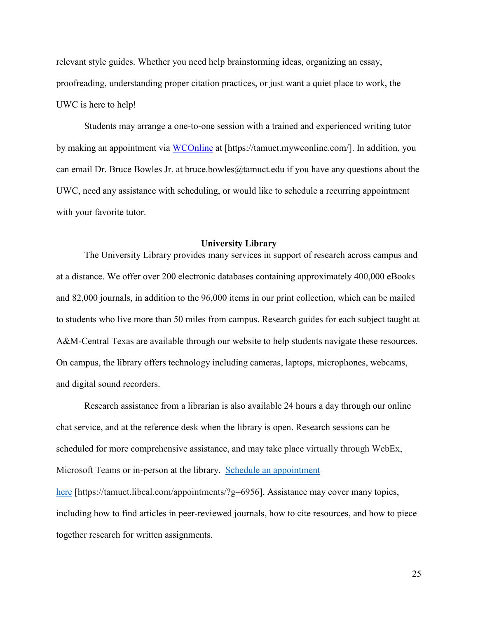relevant style guides. Whether you need help brainstorming ideas, organizing an essay, proofreading, understanding proper citation practices, or just want a quiet place to work, the UWC is here to help!

Students may arrange a one-to-one session with a trained and experienced writing tutor by making an appointment via [WCOnline](https://tamuct.mywconline.com/) at [https://tamuct.mywconline.com/]. In addition, you can email Dr. Bruce Bowles Jr. at bruce.bowles  $@$ tamuct.edu if you have any questions about the UWC, need any assistance with scheduling, or would like to schedule a recurring appointment with your favorite tutor.

#### **University Library**

The University Library provides many services in support of research across campus and at a distance. We offer over 200 electronic databases containing approximately 400,000 eBooks and 82,000 journals, in addition to the 96,000 items in our print collection, which can be mailed to students who live more than 50 miles from campus. Research guides for each subject taught at A&M-Central Texas are available through our website to help students navigate these resources. On campus, the library offers technology including cameras, laptops, microphones, webcams, and digital sound recorders.

Research assistance from a librarian is also available 24 hours a day through our online chat service, and at the reference desk when the library is open. Research sessions can be scheduled for more comprehensive assistance, and may take place virtually through WebEx, Microsoft Teams or in-person at the library. Schedule an [appointment](https://nam04.safelinks.protection.outlook.com/?url=https%3A%2F%2Ftamuct.libcal.com%2Fappointments%2F%3Fg%3D6956&data=04%7C01%7Clisa.bunkowski%40tamuct.edu%7Cde2c07d9f5804f09518008d9ab7ba6ff%7C9eed4e3000f744849ff193ad8005acec%7C0%7C0%7C637729369835011558%7CUnknown%7CTWFpbGZsb3d8eyJWIjoiMC4wLjAwMDAiLCJQIjoiV2luMzIiLCJBTiI6Ik1haWwiLCJXVCI6Mn0%3D%7C3000&sdata=KhtjgRSAw9aq%2FoBsB6wyu8b7PSuGN5EGPypzr3Ty2No%3D&reserved=0) [here](https://nam04.safelinks.protection.outlook.com/?url=https%3A%2F%2Ftamuct.libcal.com%2Fappointments%2F%3Fg%3D6956&data=04%7C01%7Clisa.bunkowski%40tamuct.edu%7Cde2c07d9f5804f09518008d9ab7ba6ff%7C9eed4e3000f744849ff193ad8005acec%7C0%7C0%7C637729369835011558%7CUnknown%7CTWFpbGZsb3d8eyJWIjoiMC4wLjAwMDAiLCJQIjoiV2luMzIiLCJBTiI6Ik1haWwiLCJXVCI6Mn0%3D%7C3000&sdata=KhtjgRSAw9aq%2FoBsB6wyu8b7PSuGN5EGPypzr3Ty2No%3D&reserved=0) [https://tamuct.libcal.com/appointments/?g=6956]. Assistance may cover many topics, including how to find articles in peer-reviewed journals, how to cite resources, and how to piece together research for written assignments.